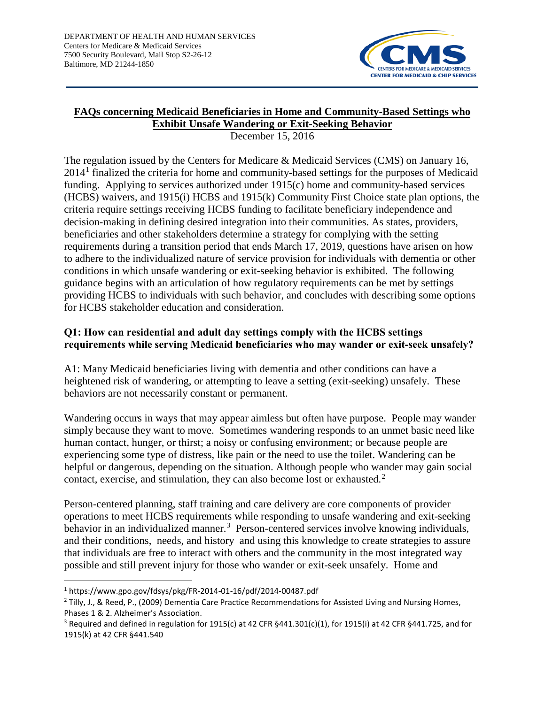

# **FAQs concerning Medicaid Beneficiaries in Home and Community-Based Settings who Exhibit Unsafe Wandering or Exit-Seeking Behavior**

December 15, 2016

The regulation issued by the Centers for Medicare & Medicaid Services (CMS) on January 16,  $2014<sup>1</sup>$  $2014<sup>1</sup>$  $2014<sup>1</sup>$  finalized the criteria for home and community-based settings for the purposes of Medicaid funding. Applying to services authorized under 1915(c) home and community-based services (HCBS) waivers, and 1915(i) HCBS and 1915(k) Community First Choice state plan options, the criteria require settings receiving HCBS funding to facilitate beneficiary independence and decision-making in defining desired integration into their communities. As states, providers, beneficiaries and other stakeholders determine a strategy for complying with the setting requirements during a transition period that ends March 17, 2019, questions have arisen on how to adhere to the individualized nature of service provision for individuals with dementia or other conditions in which unsafe wandering or exit-seeking behavior is exhibited. The following guidance begins with an articulation of how regulatory requirements can be met by settings providing HCBS to individuals with such behavior, and concludes with describing some options for HCBS stakeholder education and consideration.

### **Q1: How can residential and adult day settings comply with the HCBS settings requirements while serving Medicaid beneficiaries who may wander or exit-seek unsafely?**

A1: Many Medicaid beneficiaries living with dementia and other conditions can have a heightened risk of wandering, or attempting to leave a setting (exit-seeking) unsafely. These behaviors are not necessarily constant or permanent.

Wandering occurs in ways that may appear aimless but often have purpose. People may wander simply because they want to move. Sometimes wandering responds to an unmet basic need like human contact, hunger, or thirst; a noisy or confusing environment; or because people are experiencing some type of distress, like pain or the need to use the toilet. Wandering can be helpful or dangerous, depending on the situation. Although people who wander may gain social contact, exercise, and stimulation, they can also become lost or exhausted.<sup>[2](#page-0-1)</sup>

Person-centered planning, staff training and care delivery are core components of provider operations to meet HCBS requirements while responding to unsafe wandering and exit-seeking behavior in an individualized manner.<sup>[3](#page-0-2)</sup> Person-centered services involve knowing individuals, and their conditions, needs, and history and using this knowledge to create strategies to assure that individuals are free to interact with others and the community in the most integrated way possible and still prevent injury for those who wander or exit-seek unsafely. Home and

<span id="page-0-0"></span><sup>1</sup> https://www.gpo.gov/fdsys/pkg/FR-2014-01-16/pdf/2014-00487.pdf

<span id="page-0-1"></span><sup>&</sup>lt;sup>2</sup> Tilly, J., & Reed, P., (2009) Dementia Care Practice Recommendations for Assisted Living and Nursing Homes, Phases 1 & 2. Alzheimer's Association.

<span id="page-0-2"></span><sup>&</sup>lt;sup>3</sup> Required and defined in regulation for 1915(c) at 42 CFR  $\S 441.301(c)(1)$ , for 1915(i) at 42 CFR  $\S 441.725$ , and for 1915(k) at 42 CFR §441.540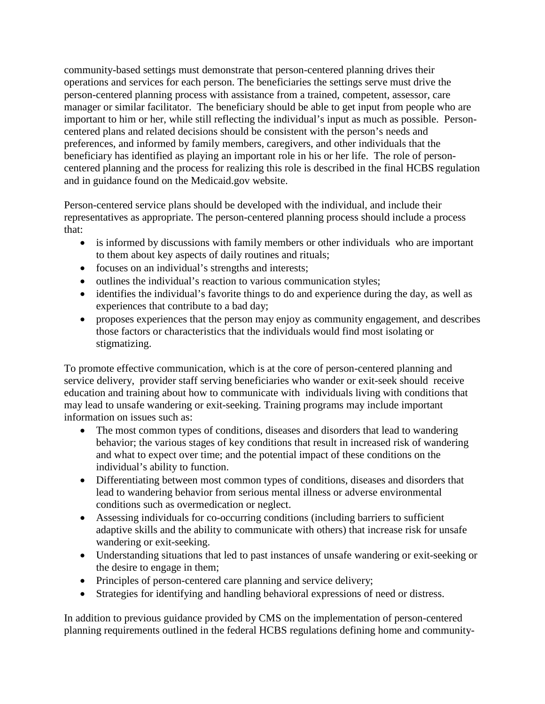community-based settings must demonstrate that person-centered planning drives their operations and services for each person. The beneficiaries the settings serve must drive the person-centered planning process with assistance from a trained, competent, assessor, care manager or similar facilitator. The beneficiary should be able to get input from people who are important to him or her, while still reflecting the individual's input as much as possible. Personcentered plans and related decisions should be consistent with the person's needs and preferences, and informed by family members, caregivers, and other individuals that the beneficiary has identified as playing an important role in his or her life. The role of personcentered planning and the process for realizing this role is described in the final HCBS regulation and in guidance found on the Medicaid.gov website.

Person-centered service plans should be developed with the individual, and include their representatives as appropriate. The person-centered planning process should include a process that:

- is informed by discussions with family members or other individuals who are important to them about key aspects of daily routines and rituals;
- focuses on an individual's strengths and interests;
- outlines the individual's reaction to various communication styles;
- identifies the individual's favorite things to do and experience during the day, as well as experiences that contribute to a bad day;
- proposes experiences that the person may enjoy as community engagement, and describes those factors or characteristics that the individuals would find most isolating or stigmatizing.

To promote effective communication, which is at the core of person-centered planning and service delivery, provider staff serving beneficiaries who wander or exit-seek should receive education and training about how to communicate with individuals living with conditions that may lead to unsafe wandering or exit-seeking. Training programs may include important information on issues such as:

- The most common types of conditions, diseases and disorders that lead to wandering behavior; the various stages of key conditions that result in increased risk of wandering and what to expect over time; and the potential impact of these conditions on the individual's ability to function.
- Differentiating between most common types of conditions, diseases and disorders that lead to wandering behavior from serious mental illness or adverse environmental conditions such as overmedication or neglect.
- Assessing individuals for co-occurring conditions (including barriers to sufficient adaptive skills and the ability to communicate with others) that increase risk for unsafe wandering or exit-seeking.
- Understanding situations that led to past instances of unsafe wandering or exit-seeking or the desire to engage in them;
- Principles of person-centered care planning and service delivery;
- Strategies for identifying and handling behavioral expressions of need or distress.

In addition to previous guidance provided by CMS on the implementation of person-centered planning requirements outlined in the federal HCBS regulations defining home and community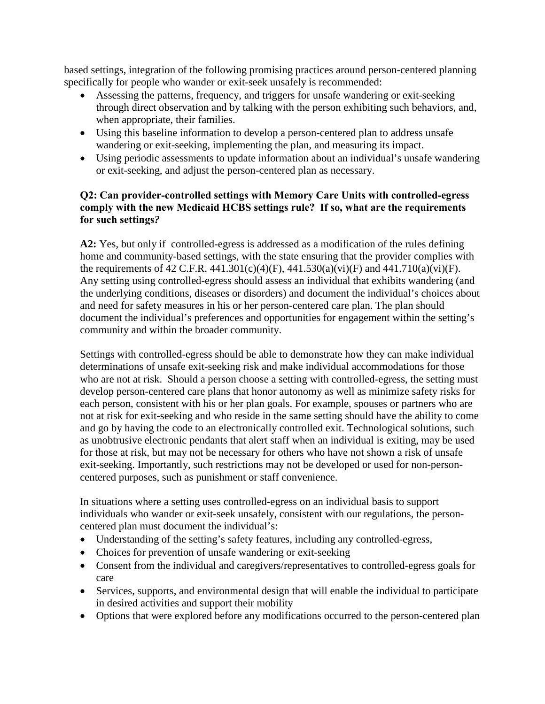based settings, integration of the following promising practices around person-centered planning specifically for people who wander or exit-seek unsafely is recommended:

- Assessing the patterns, frequency, and triggers for unsafe wandering or exit-seeking through direct observation and by talking with the person exhibiting such behaviors, and, when appropriate, their families.
- Using this baseline information to develop a person-centered plan to address unsafe wandering or exit-seeking, implementing the plan, and measuring its impact.
- Using periodic assessments to update information about an individual's unsafe wandering or exit-seeking, and adjust the person-centered plan as necessary.

### **Q2: Can provider-controlled settings with Memory Care Units with controlled-egress comply with the new Medicaid HCBS settings rule? If so, what are the requirements for such settings***?*

**A2:** Yes, but only if controlled-egress is addressed as a modification of the rules defining home and community-based settings, with the state ensuring that the provider complies with the requirements of 42 C.F.R. 441.301(c)(4)(F), 441.530(a)(vi)(F) and 441.710(a)(vi)(F). Any setting using controlled-egress should assess an individual that exhibits wandering (and the underlying conditions, diseases or disorders) and document the individual's choices about and need for safety measures in his or her person-centered care plan. The plan should document the individual's preferences and opportunities for engagement within the setting's community and within the broader community.

Settings with controlled-egress should be able to demonstrate how they can make individual determinations of unsafe exit-seeking risk and make individual accommodations for those who are not at risk. Should a person choose a setting with controlled-egress, the setting must develop person-centered care plans that honor autonomy as well as minimize safety risks for each person, consistent with his or her plan goals. For example, spouses or partners who are not at risk for exit-seeking and who reside in the same setting should have the ability to come and go by having the code to an electronically controlled exit. Technological solutions, such as unobtrusive electronic pendants that alert staff when an individual is exiting, may be used for those at risk, but may not be necessary for others who have not shown a risk of unsafe exit-seeking. Importantly, such restrictions may not be developed or used for non-personcentered purposes, such as punishment or staff convenience.

In situations where a setting uses controlled-egress on an individual basis to support individuals who wander or exit-seek unsafely, consistent with our regulations, the personcentered plan must document the individual's:

- Understanding of the setting's safety features, including any controlled-egress,
- Choices for prevention of unsafe wandering or exit-seeking
- Consent from the individual and caregivers/representatives to controlled-egress goals for care
- Services, supports, and environmental design that will enable the individual to participate in desired activities and support their mobility
- Options that were explored before any modifications occurred to the person-centered plan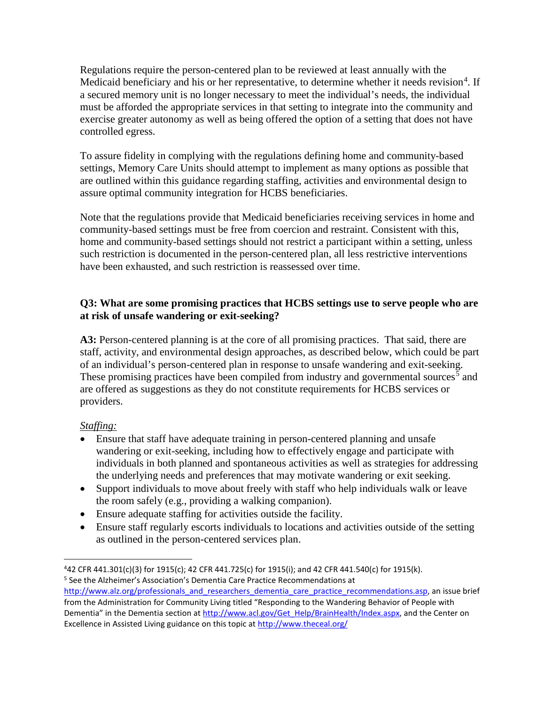Regulations require the person-centered plan to be reviewed at least annually with the Medicaid beneficiary and his or her representative, to determine whether it needs revision<sup>[4](#page-3-0)</sup>. If a secured memory unit is no longer necessary to meet the individual's needs, the individual must be afforded the appropriate services in that setting to integrate into the community and exercise greater autonomy as well as being offered the option of a setting that does not have controlled egress.

To assure fidelity in complying with the regulations defining home and community-based settings, Memory Care Units should attempt to implement as many options as possible that are outlined within this guidance regarding staffing, activities and environmental design to assure optimal community integration for HCBS beneficiaries.

Note that the regulations provide that Medicaid beneficiaries receiving services in home and community-based settings must be free from coercion and restraint. Consistent with this, home and community-based settings should not restrict a participant within a setting, unless such restriction is documented in the person-centered plan, all less restrictive interventions have been exhausted, and such restriction is reassessed over time.

## **Q3: What are some promising practices that HCBS settings use to serve people who are at risk of unsafe wandering or exit-seeking?**

**A3:** Person-centered planning is at the core of all promising practices. That said, there are staff, activity, and environmental design approaches, as described below, which could be part of an individual's person-centered plan in response to unsafe wandering and exit-seeking. These promising practices have been compiled from industry and governmental sources<sup>[5](#page-3-1)</sup> and are offered as suggestions as they do not constitute requirements for HCBS services or providers.

### *Staffing:*

- Ensure that staff have adequate training in person-centered planning and unsafe wandering or exit-seeking, including how to effectively engage and participate with individuals in both planned and spontaneous activities as well as strategies for addressing the underlying needs and preferences that may motivate wandering or exit seeking.
- Support individuals to move about freely with staff who help individuals walk or leave the room safely (e.g., providing a walking companion).
- Ensure adequate staffing for activities outside the facility.
- Ensure staff regularly escorts individuals to locations and activities outside of the setting as outlined in the person-centered services plan.

<span id="page-3-0"></span> $\overline{4}$ 42 CFR 441.301(c)(3) for 1915(c); 42 CFR 441.725(c) for 1915(i); and 42 CFR 441.540(c) for 1915(k). <sup>5</sup> See the Alzheimer's Association's Dementia Care Practice Recommendations at

<span id="page-3-1"></span>[http://www.alz.org/professionals\\_and\\_researchers\\_dementia\\_care\\_practice\\_recommendations.asp,](http://www.alz.org/professionals_and_researchers_dementia_care_practice_recommendations.asp) an issue brief from the Administration for Community Living titled "Responding to the Wandering Behavior of People with Dementia" in the Dementia section at [http://www.acl.gov/Get\\_Help/BrainHealth/Index.aspx,](http://www.acl.gov/Get_Help/BrainHealth/Index.aspx) and the Center on Excellence in Assisted Living guidance on this topic a[t http://www.theceal.org/](http://www.theceal.org/)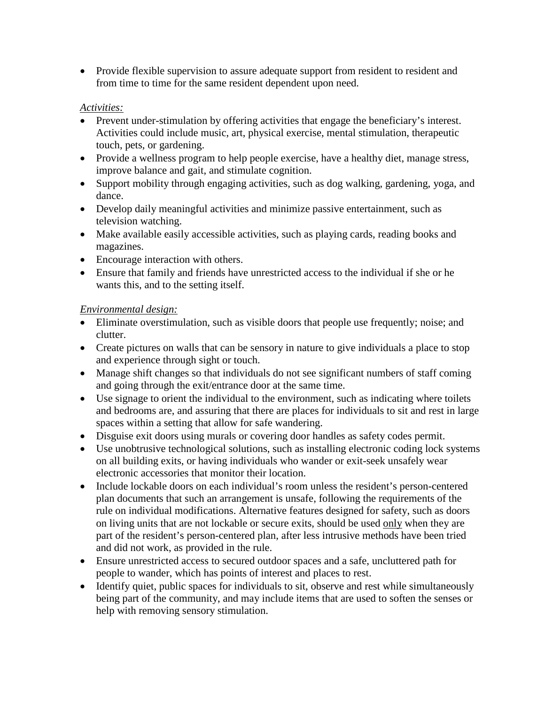• Provide flexible supervision to assure adequate support from resident to resident and from time to time for the same resident dependent upon need.

### *Activities:*

- Prevent under-stimulation by offering activities that engage the beneficiary's interest. Activities could include music, art, physical exercise, mental stimulation, therapeutic touch, pets, or gardening.
- Provide a wellness program to help people exercise, have a healthy diet, manage stress, improve balance and gait, and stimulate cognition.
- Support mobility through engaging activities, such as dog walking, gardening, yoga, and dance.
- Develop daily meaningful activities and minimize passive entertainment, such as television watching.
- Make available easily accessible activities, such as playing cards, reading books and magazines.
- Encourage interaction with others.
- Ensure that family and friends have unrestricted access to the individual if she or he wants this, and to the setting itself.

# *Environmental design:*

- Eliminate overstimulation, such as visible doors that people use frequently; noise; and clutter.
- Create pictures on walls that can be sensory in nature to give individuals a place to stop and experience through sight or touch.
- Manage shift changes so that individuals do not see significant numbers of staff coming and going through the exit/entrance door at the same time.
- Use signage to orient the individual to the environment, such as indicating where toilets and bedrooms are, and assuring that there are places for individuals to sit and rest in large spaces within a setting that allow for safe wandering.
- Disguise exit doors using murals or covering door handles as safety codes permit.
- Use unobtrusive technological solutions, such as installing electronic coding lock systems on all building exits, or having individuals who wander or exit-seek unsafely wear electronic accessories that monitor their location.
- Include lockable doors on each individual's room unless the resident's person-centered plan documents that such an arrangement is unsafe, following the requirements of the rule on individual modifications. Alternative features designed for safety, such as doors on living units that are not lockable or secure exits, should be used only when they are part of the resident's person-centered plan, after less intrusive methods have been tried and did not work, as provided in the rule.
- Ensure unrestricted access to secured outdoor spaces and a safe, uncluttered path for people to wander, which has points of interest and places to rest.
- Identify quiet, public spaces for individuals to sit, observe and rest while simultaneously being part of the community, and may include items that are used to soften the senses or help with removing sensory stimulation.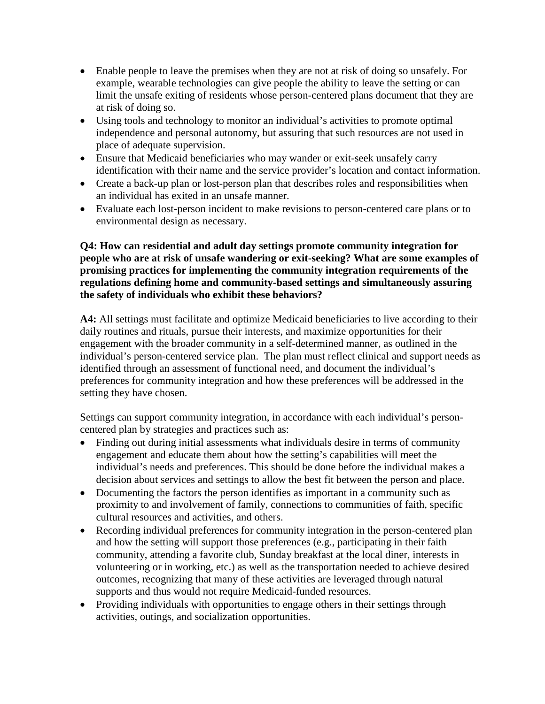- Enable people to leave the premises when they are not at risk of doing so unsafely. For example, wearable technologies can give people the ability to leave the setting or can limit the unsafe exiting of residents whose person-centered plans document that they are at risk of doing so.
- Using tools and technology to monitor an individual's activities to promote optimal independence and personal autonomy, but assuring that such resources are not used in place of adequate supervision.
- Ensure that Medicaid beneficiaries who may wander or exit-seek unsafely carry identification with their name and the service provider's location and contact information.
- Create a back-up plan or lost-person plan that describes roles and responsibilities when an individual has exited in an unsafe manner.
- Evaluate each lost-person incident to make revisions to person-centered care plans or to environmental design as necessary.

### **Q4: How can residential and adult day settings promote community integration for people who are at risk of unsafe wandering or exit-seeking? What are some examples of promising practices for implementing the community integration requirements of the regulations defining home and community-based settings and simultaneously assuring the safety of individuals who exhibit these behaviors?**

**A4:** All settings must facilitate and optimize Medicaid beneficiaries to live according to their daily routines and rituals, pursue their interests, and maximize opportunities for their engagement with the broader community in a self-determined manner, as outlined in the individual's person-centered service plan. The plan must reflect clinical and support needs as identified through an assessment of functional need, and document the individual's preferences for community integration and how these preferences will be addressed in the setting they have chosen.

Settings can support community integration, in accordance with each individual's personcentered plan by strategies and practices such as:

- Finding out during initial assessments what individuals desire in terms of community engagement and educate them about how the setting's capabilities will meet the individual's needs and preferences. This should be done before the individual makes a decision about services and settings to allow the best fit between the person and place.
- Documenting the factors the person identifies as important in a community such as proximity to and involvement of family, connections to communities of faith, specific cultural resources and activities, and others.
- Recording individual preferences for community integration in the person-centered plan and how the setting will support those preferences (e.g., participating in their faith community, attending a favorite club, Sunday breakfast at the local diner, interests in volunteering or in working, etc.) as well as the transportation needed to achieve desired outcomes, recognizing that many of these activities are leveraged through natural supports and thus would not require Medicaid-funded resources.
- Providing individuals with opportunities to engage others in their settings through activities, outings, and socialization opportunities.